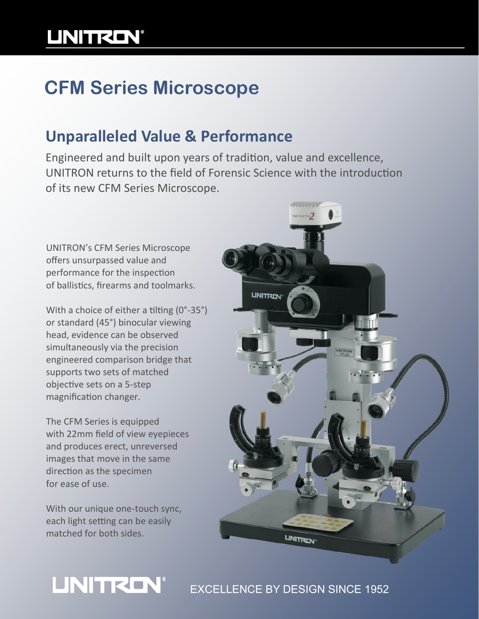# **UNITRON®**

## **CFM Series Microscope**

### **Unparalleled Value & Performance**

Engineered and built upon years of tradition, value and excellence, UNITRON returns to the field of Forensic Science with the introduction of its new CFM Series Microscope.

UNITRON's CFM Series Microscope offers unsurpassed value and performance for the inspection of ballistics, firearms and toolmarks.

With a choice of either a tilting (0°-35°) or standard (45°) binocular viewing head, evidence can be observed simultaneously via the precision engineered comparison bridge that supports two sets of matched objective sets on a 5-step magnification changer.

The CFM Series is equipped with 22mm field of view eyepieces and produces erect, unreversed images that move in the same direction as the specimen for ease of use.

With our unique one-touch sync, each light setting can be easily matched for both sides.

**UNITRON®** 



### EXCELLENCE BY DESIGN SINCE 1952